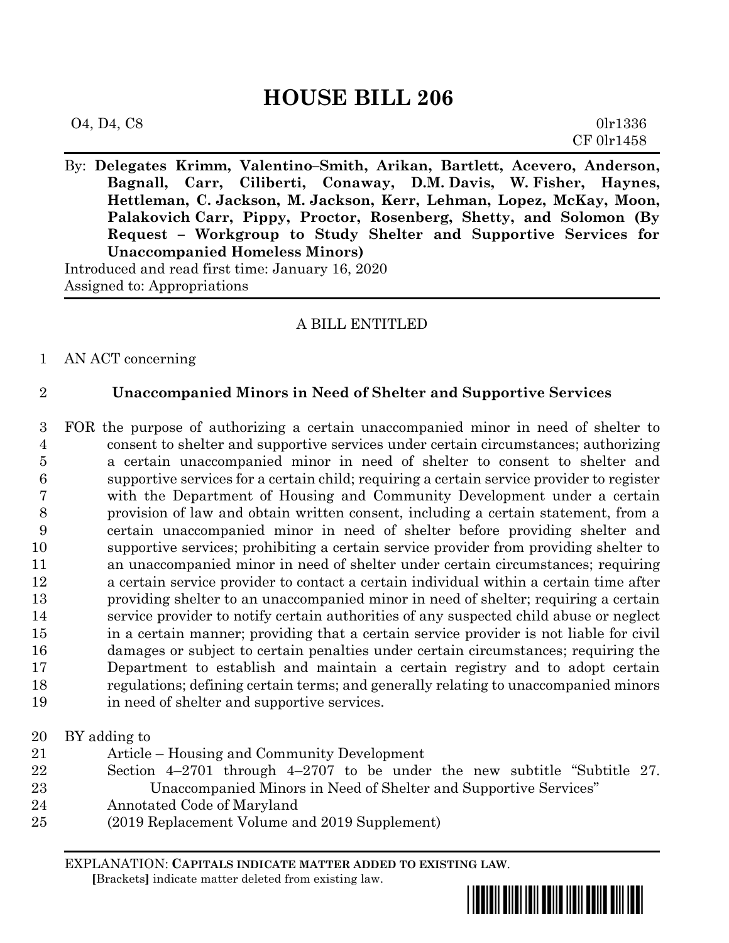# **HOUSE BILL 206**

| O4, D4, C8 | 0lr1336    |
|------------|------------|
|            | CF 0lr1458 |

By: **Delegates Krimm, Valentino–Smith, Arikan, Bartlett, Acevero, Anderson, Bagnall, Carr, Ciliberti, Conaway, D.M. Davis, W. Fisher, Haynes, Hettleman, C. Jackson, M. Jackson, Kerr, Lehman, Lopez, McKay, Moon, Palakovich Carr, Pippy, Proctor, Rosenberg, Shetty, and Solomon (By Request – Workgroup to Study Shelter and Supportive Services for Unaccompanied Homeless Minors)** Introduced and read first time: January 16, 2020 Assigned to: Appropriations

## A BILL ENTITLED

## AN ACT concerning

## **Unaccompanied Minors in Need of Shelter and Supportive Services**

 FOR the purpose of authorizing a certain unaccompanied minor in need of shelter to consent to shelter and supportive services under certain circumstances; authorizing a certain unaccompanied minor in need of shelter to consent to shelter and supportive services for a certain child; requiring a certain service provider to register with the Department of Housing and Community Development under a certain provision of law and obtain written consent, including a certain statement, from a certain unaccompanied minor in need of shelter before providing shelter and supportive services; prohibiting a certain service provider from providing shelter to an unaccompanied minor in need of shelter under certain circumstances; requiring a certain service provider to contact a certain individual within a certain time after providing shelter to an unaccompanied minor in need of shelter; requiring a certain service provider to notify certain authorities of any suspected child abuse or neglect in a certain manner; providing that a certain service provider is not liable for civil damages or subject to certain penalties under certain circumstances; requiring the Department to establish and maintain a certain registry and to adopt certain regulations; defining certain terms; and generally relating to unaccompanied minors in need of shelter and supportive services.

#### BY adding to

- Article Housing and Community Development
- Section 4–2701 through 4–2707 to be under the new subtitle "Subtitle 27. Unaccompanied Minors in Need of Shelter and Supportive Services"
- Annotated Code of Maryland
- (2019 Replacement Volume and 2019 Supplement)

EXPLANATION: **CAPITALS INDICATE MATTER ADDED TO EXISTING LAW**.

 **[**Brackets**]** indicate matter deleted from existing law.

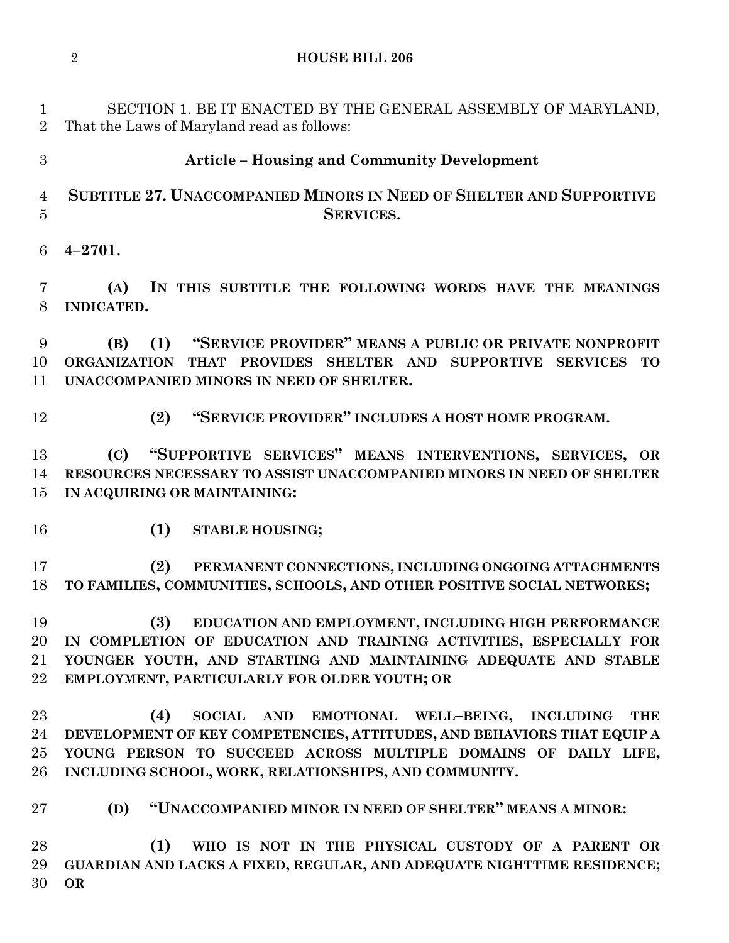SECTION 1. BE IT ENACTED BY THE GENERAL ASSEMBLY OF MARYLAND, That the Laws of Maryland read as follows:

## **Article – Housing and Community Development**

# **SUBTITLE 27. UNACCOMPANIED MINORS IN NEED OF SHELTER AND SUPPORTIVE SERVICES.**

**4–2701.**

 **(A) IN THIS SUBTITLE THE FOLLOWING WORDS HAVE THE MEANINGS INDICATED.**

 **(B) (1) "SERVICE PROVIDER" MEANS A PUBLIC OR PRIVATE NONPROFIT ORGANIZATION THAT PROVIDES SHELTER AND SUPPORTIVE SERVICES TO UNACCOMPANIED MINORS IN NEED OF SHELTER.**

- 
- **(2) "SERVICE PROVIDER" INCLUDES A HOST HOME PROGRAM.**

 **(C) "SUPPORTIVE SERVICES" MEANS INTERVENTIONS, SERVICES, OR RESOURCES NECESSARY TO ASSIST UNACCOMPANIED MINORS IN NEED OF SHELTER IN ACQUIRING OR MAINTAINING:**

**(1) STABLE HOUSING;**

 **(2) PERMANENT CONNECTIONS, INCLUDING ONGOING ATTACHMENTS TO FAMILIES, COMMUNITIES, SCHOOLS, AND OTHER POSITIVE SOCIAL NETWORKS;**

 **(3) EDUCATION AND EMPLOYMENT, INCLUDING HIGH PERFORMANCE IN COMPLETION OF EDUCATION AND TRAINING ACTIVITIES, ESPECIALLY FOR YOUNGER YOUTH, AND STARTING AND MAINTAINING ADEQUATE AND STABLE EMPLOYMENT, PARTICULARLY FOR OLDER YOUTH; OR**

 **(4) SOCIAL AND EMOTIONAL WELL–BEING, INCLUDING THE DEVELOPMENT OF KEY COMPETENCIES, ATTITUDES, AND BEHAVIORS THAT EQUIP A YOUNG PERSON TO SUCCEED ACROSS MULTIPLE DOMAINS OF DAILY LIFE, INCLUDING SCHOOL, WORK, RELATIONSHIPS, AND COMMUNITY.**

**(D) "UNACCOMPANIED MINOR IN NEED OF SHELTER" MEANS A MINOR:**

 **(1) WHO IS NOT IN THE PHYSICAL CUSTODY OF A PARENT OR GUARDIAN AND LACKS A FIXED, REGULAR, AND ADEQUATE NIGHTTIME RESIDENCE; OR**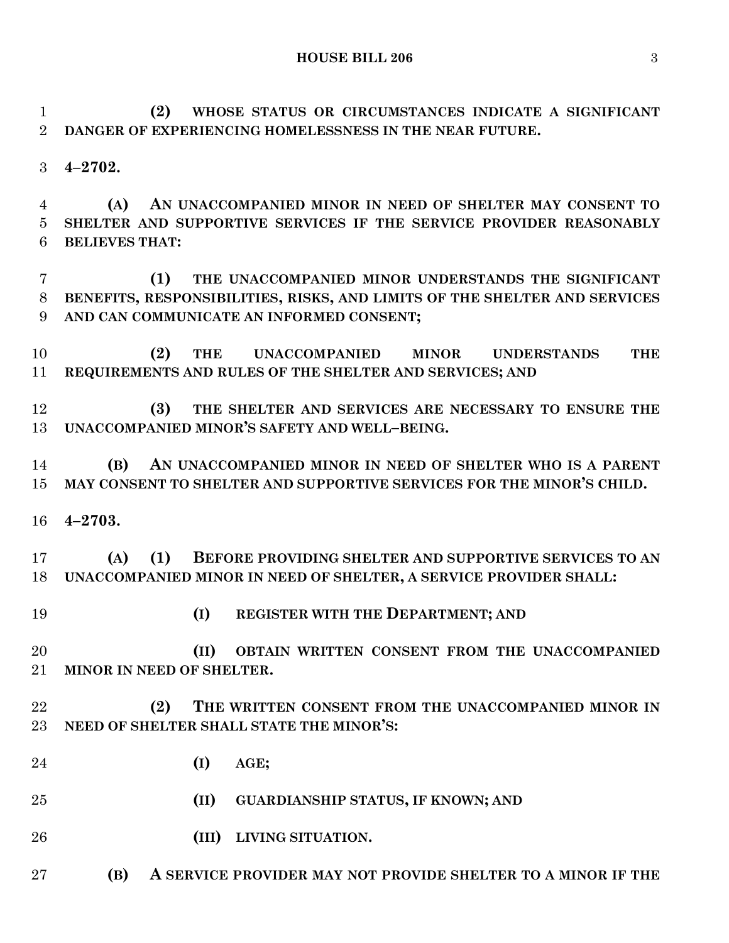**HOUSE BILL 206** 3

 **(2) WHOSE STATUS OR CIRCUMSTANCES INDICATE A SIGNIFICANT DANGER OF EXPERIENCING HOMELESSNESS IN THE NEAR FUTURE.**

**4–2702.**

 **(A) AN UNACCOMPANIED MINOR IN NEED OF SHELTER MAY CONSENT TO SHELTER AND SUPPORTIVE SERVICES IF THE SERVICE PROVIDER REASONABLY BELIEVES THAT:**

 **(1) THE UNACCOMPANIED MINOR UNDERSTANDS THE SIGNIFICANT BENEFITS, RESPONSIBILITIES, RISKS, AND LIMITS OF THE SHELTER AND SERVICES AND CAN COMMUNICATE AN INFORMED CONSENT;**

 **(2) THE UNACCOMPANIED MINOR UNDERSTANDS THE REQUIREMENTS AND RULES OF THE SHELTER AND SERVICES; AND**

 **(3) THE SHELTER AND SERVICES ARE NECESSARY TO ENSURE THE UNACCOMPANIED MINOR'S SAFETY AND WELL–BEING.**

 **(B) AN UNACCOMPANIED MINOR IN NEED OF SHELTER WHO IS A PARENT MAY CONSENT TO SHELTER AND SUPPORTIVE SERVICES FOR THE MINOR'S CHILD.**

**4–2703.**

 **(A) (1) BEFORE PROVIDING SHELTER AND SUPPORTIVE SERVICES TO AN UNACCOMPANIED MINOR IN NEED OF SHELTER, A SERVICE PROVIDER SHALL:**

**(I) REGISTER WITH THE DEPARTMENT; AND**

**(II) OBTAIN WRITTEN CONSENT FROM THE UNACCOMPANIED** 

- **MINOR IN NEED OF SHELTER.**
- **(2) THE WRITTEN CONSENT FROM THE UNACCOMPANIED MINOR IN NEED OF SHELTER SHALL STATE THE MINOR'S:**
- **(I) AGE;**
- **(II) GUARDIANSHIP STATUS, IF KNOWN; AND**
- **(III) LIVING SITUATION.**

**(B) A SERVICE PROVIDER MAY NOT PROVIDE SHELTER TO A MINOR IF THE**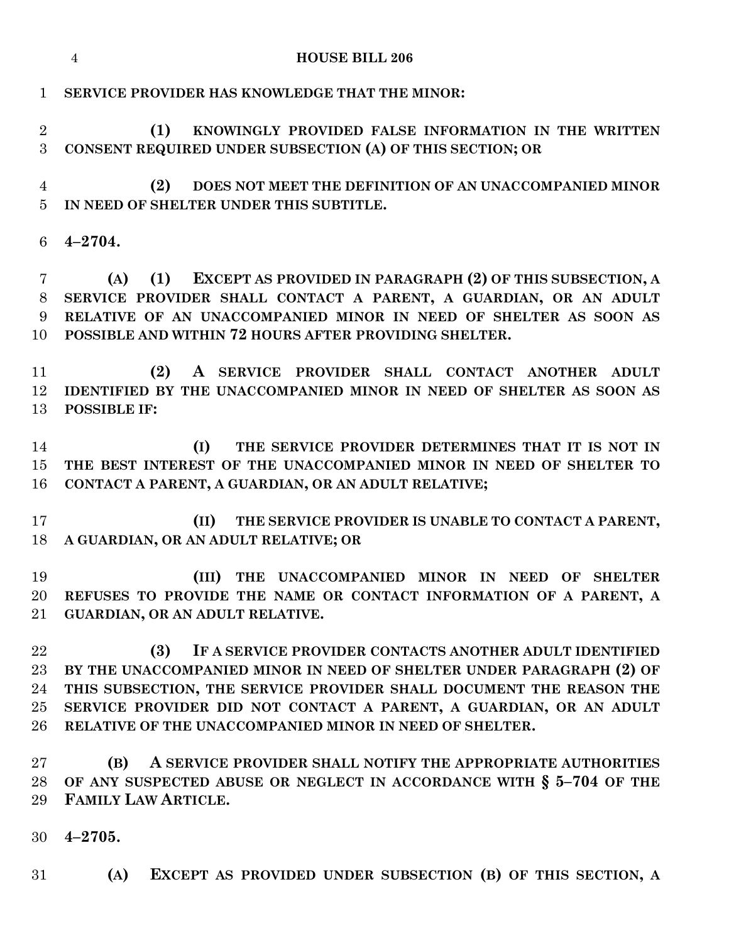|                                        | <b>HOUSE BILL 206</b><br>$\overline{4}$                                                                                                                                                                                                                                                                                                        |
|----------------------------------------|------------------------------------------------------------------------------------------------------------------------------------------------------------------------------------------------------------------------------------------------------------------------------------------------------------------------------------------------|
| $\mathbf{1}$                           | SERVICE PROVIDER HAS KNOWLEDGE THAT THE MINOR:                                                                                                                                                                                                                                                                                                 |
| $\overline{2}$<br>3                    | (1)<br>KNOWINGLY PROVIDED FALSE INFORMATION IN THE WRITTEN<br>CONSENT REQUIRED UNDER SUBSECTION (A) OF THIS SECTION; OR                                                                                                                                                                                                                        |
| 4<br>$\overline{5}$                    | (2)<br>DOES NOT MEET THE DEFINITION OF AN UNACCOMPANIED MINOR<br>IN NEED OF SHELTER UNDER THIS SUBTITLE.                                                                                                                                                                                                                                       |
| 6                                      | $4 - 2704.$                                                                                                                                                                                                                                                                                                                                    |
| 7<br>8<br>9<br>10                      | <b>EXCEPT AS PROVIDED IN PARAGRAPH (2) OF THIS SUBSECTION, A</b><br>(1)<br>(A)<br>SERVICE PROVIDER SHALL CONTACT A PARENT, A GUARDIAN, OR AN ADULT<br>RELATIVE OF AN UNACCOMPANIED MINOR IN NEED OF SHELTER AS SOON AS<br>POSSIBLE AND WITHIN 72 HOURS AFTER PROVIDING SHELTER.                                                                |
| 11<br>12<br>13                         | A SERVICE PROVIDER SHALL CONTACT ANOTHER ADULT<br>(2)<br>IDENTIFIED BY THE UNACCOMPANIED MINOR IN NEED OF SHELTER AS SOON AS<br><b>POSSIBLE IF:</b>                                                                                                                                                                                            |
| 14<br>15<br>16                         | THE SERVICE PROVIDER DETERMINES THAT IT IS NOT IN<br>(I)<br>THE BEST INTEREST OF THE UNACCOMPANIED MINOR IN NEED OF SHELTER TO<br>CONTACT A PARENT, A GUARDIAN, OR AN ADULT RELATIVE;                                                                                                                                                          |
| 17<br>18                               | (II)<br>THE SERVICE PROVIDER IS UNABLE TO CONTACT A PARENT,<br>A GUARDIAN, OR AN ADULT RELATIVE; OR                                                                                                                                                                                                                                            |
| 19<br>20<br>$21\,$                     | (III)<br>THE UNACCOMPANIED MINOR IN NEED OF SHELTER<br>REFUSES TO PROVIDE THE NAME OR CONTACT INFORMATION OF A PARENT, A<br>GUARDIAN, OR AN ADULT RELATIVE.                                                                                                                                                                                    |
| 22<br>$23\,$<br>24<br>$25\,$<br>$26\,$ | IF A SERVICE PROVIDER CONTACTS ANOTHER ADULT IDENTIFIED<br>(3)<br>BY THE UNACCOMPANIED MINOR IN NEED OF SHELTER UNDER PARAGRAPH (2) OF<br>THIS SUBSECTION, THE SERVICE PROVIDER SHALL DOCUMENT THE REASON THE<br>SERVICE PROVIDER DID NOT CONTACT A PARENT, A GUARDIAN, OR AN ADULT<br>RELATIVE OF THE UNACCOMPANIED MINOR IN NEED OF SHELTER. |
| $27\,$<br>28<br>29                     | A SERVICE PROVIDER SHALL NOTIFY THE APPROPRIATE AUTHORITIES<br>(B)<br>OF ANY SUSPECTED ABUSE OR NEGLECT IN ACCORDANCE WITH § 5-704 OF THE<br>FAMILY LAW ARTICLE.                                                                                                                                                                               |
| 30                                     | $4 - 2705.$                                                                                                                                                                                                                                                                                                                                    |
| 31                                     | EXCEPT AS PROVIDED UNDER SUBSECTION (B) OF THIS SECTION, A<br>(A)                                                                                                                                                                                                                                                                              |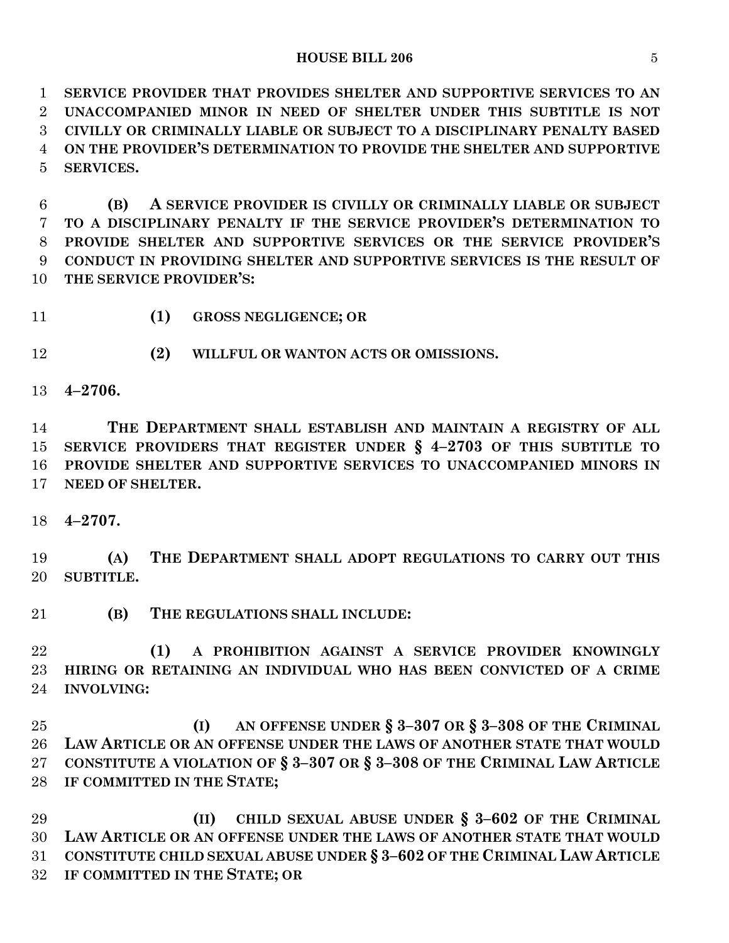#### **HOUSE BILL 206** 5

 **SERVICE PROVIDER THAT PROVIDES SHELTER AND SUPPORTIVE SERVICES TO AN UNACCOMPANIED MINOR IN NEED OF SHELTER UNDER THIS SUBTITLE IS NOT CIVILLY OR CRIMINALLY LIABLE OR SUBJECT TO A DISCIPLINARY PENALTY BASED ON THE PROVIDER'S DETERMINATION TO PROVIDE THE SHELTER AND SUPPORTIVE SERVICES.**

 **(B) A SERVICE PROVIDER IS CIVILLY OR CRIMINALLY LIABLE OR SUBJECT TO A DISCIPLINARY PENALTY IF THE SERVICE PROVIDER'S DETERMINATION TO PROVIDE SHELTER AND SUPPORTIVE SERVICES OR THE SERVICE PROVIDER'S CONDUCT IN PROVIDING SHELTER AND SUPPORTIVE SERVICES IS THE RESULT OF THE SERVICE PROVIDER'S:**

**(1) GROSS NEGLIGENCE; OR**

**(2) WILLFUL OR WANTON ACTS OR OMISSIONS.**

**4–2706.**

 **THE DEPARTMENT SHALL ESTABLISH AND MAINTAIN A REGISTRY OF ALL SERVICE PROVIDERS THAT REGISTER UNDER § 4–2703 OF THIS SUBTITLE TO PROVIDE SHELTER AND SUPPORTIVE SERVICES TO UNACCOMPANIED MINORS IN NEED OF SHELTER.**

**4–2707.**

 **(A) THE DEPARTMENT SHALL ADOPT REGULATIONS TO CARRY OUT THIS SUBTITLE.**

**(B) THE REGULATIONS SHALL INCLUDE:**

 **(1) A PROHIBITION AGAINST A SERVICE PROVIDER KNOWINGLY HIRING OR RETAINING AN INDIVIDUAL WHO HAS BEEN CONVICTED OF A CRIME INVOLVING:**

 **(I) AN OFFENSE UNDER § 3–307 OR § 3–308 OF THE CRIMINAL LAW ARTICLE OR AN OFFENSE UNDER THE LAWS OF ANOTHER STATE THAT WOULD CONSTITUTE A VIOLATION OF § 3–307 OR § 3–308 OF THE CRIMINAL LAW ARTICLE IF COMMITTED IN THE STATE;**

 **(II) CHILD SEXUAL ABUSE UNDER § 3–602 OF THE CRIMINAL LAW ARTICLE OR AN OFFENSE UNDER THE LAWS OF ANOTHER STATE THAT WOULD CONSTITUTE CHILD SEXUAL ABUSE UNDER § 3–602 OF THE CRIMINAL LAW ARTICLE IF COMMITTED IN THE STATE; OR**